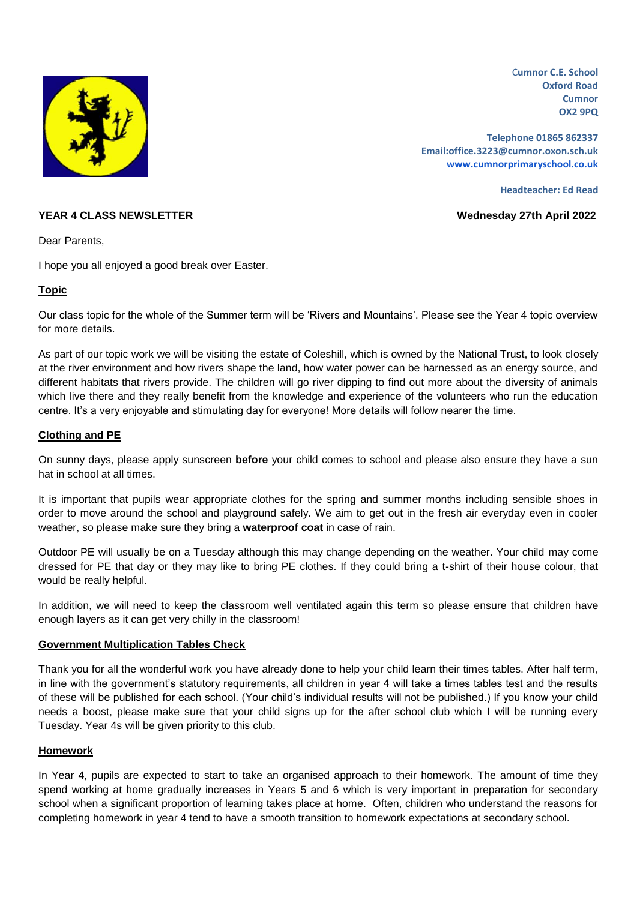

C**umnor C.E. School Oxford Road Cumnor OX2 9PQ**

**Telephone 01865 862337 Email:office.3223@cumnor.oxon.sch.uk [www.cumnorprimaryschool.co.uk](http://www.cumnorprimaryschool.co.uk/)**

**Headteacher: Ed Read**

## **YEAR 4 CLASS NEWSLETTER Wednesday 27th April 2022**

Dear Parents,

I hope you all enjoyed a good break over Easter.

# **Topic**

Our class topic for the whole of the Summer term will be 'Rivers and Mountains'. Please see the Year 4 topic overview for more details.

As part of our topic work we will be visiting the estate of Coleshill, which is owned by the National Trust, to look closely at the river environment and how rivers shape the land, how water power can be harnessed as an energy source, and different habitats that rivers provide. The children will go river dipping to find out more about the diversity of animals which live there and they really benefit from the knowledge and experience of the volunteers who run the education centre. It's a very enjoyable and stimulating day for everyone! More details will follow nearer the time.

## **Clothing and PE**

On sunny days, please apply sunscreen **before** your child comes to school and please also ensure they have a sun hat in school at all times.

It is important that pupils wear appropriate clothes for the spring and summer months including sensible shoes in order to move around the school and playground safely. We aim to get out in the fresh air everyday even in cooler weather, so please make sure they bring a **waterproof coat** in case of rain.

Outdoor PE will usually be on a Tuesday although this may change depending on the weather. Your child may come dressed for PE that day or they may like to bring PE clothes. If they could bring a t-shirt of their house colour, that would be really helpful.

In addition, we will need to keep the classroom well ventilated again this term so please ensure that children have enough layers as it can get very chilly in the classroom!

#### **Government Multiplication Tables Check**

Thank you for all the wonderful work you have already done to help your child learn their times tables. After half term, in line with the government's statutory requirements, all children in year 4 will take a times tables test and the results of these will be published for each school. (Your child's individual results will not be published.) If you know your child needs a boost, please make sure that your child signs up for the after school club which I will be running every Tuesday. Year 4s will be given priority to this club.

# **Homework**

In Year 4, pupils are expected to start to take an organised approach to their homework. The amount of time they spend working at home gradually increases in Years 5 and 6 which is very important in preparation for secondary school when a significant proportion of learning takes place at home. Often, children who understand the reasons for completing homework in year 4 tend to have a smooth transition to homework expectations at secondary school.